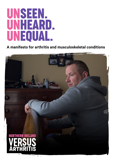# unSeen. UNHEARD. unEQUAL.

### **A manifesto for arthritis and musculoskeletal conditions**

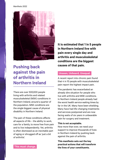#### Manifesto 2022



## **Pushing back against the pain of arthritis in Northern Ireland**

There are over 500,000 people living with arthritis and related musculoskeletal (MSK) conditions in Northern Ireland, around a quarter of the population. MSK conditions are the single biggest cause of physical disability in Northern Ireland.

The pain of these conditions affects all aspects of life – the ability to work, care for a family, to move free from pain and to live independently. Yet, arthritis is often dismissed as an inevitable part of aging or shrugged off as 'just a bit of arthritis'.

**It is estimated that 1 in 5 people in Northern Ireland live with pain every single day and arthritis and musculoskeletal conditions are the biggest causes of that pain.**

#### **Unseen, Unheard, Unequal.**

A recent report into chronic pain found that 4 in 10 people with musculoskeletal pain report the highest impact pain.

The pandemic has exacerbated an already dire situation for people who live with arthritis and MSK conditions. In Northern Ireland people already had the worst health service waiting times by far in the UK. Many have been shielding. Many have had life-changing treatments and services postponed and are now facing waits of six years in unbearable pain for surgery and treatment.

#### **This is not acceptable.**

Now more than ever, we need your support to improve thousands of lives in Northern Ireland by pushing back against the pain of arthritis.

**This manifesto sets out the key practical actions that will transform the lives of your constituents.**

**This must change.**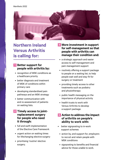#### Manifesto 2022



## **Northern Ireland Versus Arthritis is calling for:**

### **1 Better support for people with arthritis by:**

- recognition of MSK conditions as a healthcare priority
- better diagnosis and treatment of MSK of conditions within primary care
- developing standardised pain pathways and an MSK strategy
- better communication with and re-assessment of patients on waiting lists.
- **2 Timely access to jointreplacement surgery for people who need it through:** 
	- full and swift implementation of the Elective Care Framework
	- urgent action on waiting times for lifechanging elective surgery
	- prioritising 'routine' elective surgery.
- **3 More investment in support for self-management so that people with arthritis can manage their condition and:** 
	- a strategic approach and easier access to self-management and pain management support
	- routinely offering a support package to people on a waiting list, to help people wait well and stay fit for surgery or treatment
	- providing timely access to other treatments such as podiatry and physiotherapy
	- public health messaging on the importance of physical activity
	- health trusts to work with Versus Arthritis to develop a support package.

### **4 Action to address the impact of arthritis on people's ability to work with:**

- better signposting to in-work support schemes
	- action by, and support for, employers to recruit and retain people with MSK conditions
	- signposting to benefits and financial advice for those unable to work.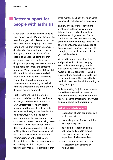### **Better support for people with arthritis**

Given that MSK conditions make up at least one in five of GP appointments, the need for urgent prioritisation should be clear. However many people with MSK conditions feel that their symptoms are dismissed as 'wear and tear' or part of the ageing process. Arthritis affects people of all ages including children and young people. It needs improved diagnosis at primary care level to ensure that people get timely and effective treatment. Wider availability of Specialist GPs, multidisciplinary teams and GP education can make a real difference. There should also be more patient involvement in developing individual care and treatment plans and a shared decision-making approach.

Northern Ireland lacks a strategic approach to MSK care. Improved pain pathways and the development of an MSK Strategy for Northern Ireland would mean that people get the right treatment at the right time. Standardised pain pathways would make people feel confident in the treatment of their condition and know that it is being taken seriously. Timely intervention is the difference between having an active and fulfilling life and a life of permanent pain and avoidable disability. For example, inflammatory arthritis, particularly rheumatoid arthritis, is a common cause of disability in adults. Diagnosis and treatment of rheumatoid arthritis within

three months has been shown in some instances to halt disease progression.

The low priority of MSK conditions is reflected in the massive waiting lists for trauma and orthopaedics, and rheumatology services. These conditions destroy lives. Despite this, planned surgery continues to be treated as low priority, meaning thousands of people are waiting many years for lifechanging treatment that can help them get their lives back.

We need increased investment in and prioritisation of life-changing joint replacement surgery, coupled with early and accurate diagnosis of musculoskeletal conditions. Pushing treatment and support for people with these conditions further down the line results in people with arthritis waiting in agony for longer.

Patients waiting for joint replacements should be contacted and assessed regularly to ensure that their situation has not become critical since they were originally added to the waiting list.

#### **What needs to happen?**

- recognition of MSK conditions as a healthcare priority
- better diagnosis of MSK conditions within primary care
- developing standardised pain pathways and an MSK strategy – ensuring better care for all regardless of where one lives
- better communication with and re-assessment of patients on waiting lists.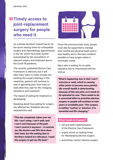### **Timely access to 2joint-replacement surgery for people who need it**

As outlined, Northern Ireland has by far the worst waiting times for orthopaedic surgery and rheumatology appointments in the UK, which have been further exacerbated by the cancellation of planned surgery and treatment due to the Covid-19 pandemic.

The recently published Elective Care Framework is welcome, but it will take many years to make inroads into tackling the surgery backlog. In the meantime, patients will continue to wait in agonising pain, their lives on hold while they wait for life-changing operations and treatment.

The impact of waiting for treatment is devastating.

Speaking about how waiting for surgery has affected her, Elizabeth who has osteoarthritis said:

*"This has completely taken over my life. I can't sleep, I can't walk, and I can't work because of the pain. I can't control it anymore – it controls me. My doctors and GPs have done their best, but the waiting lists in Northern Ireland are ridiculous. I need the surgery to get my life back."*



Given the enormous wait times, people must also be supported to manage their mental and physical heath and to stay healthy and in the best condition possible to have surgery when it eventually comes.

Mary, who is waiting for an ankle operation due to rheumatoid arthritis, told us:

*"What's happening now is that I can't exercise or walk, which is causing other joints to become more painful. My overall health is deteriorating because of this one joint, so it needs to be operated on now. There needs to be a concerted effort to prioritise elective surgery or people will continue to wait years in avoidable pain. This surgery is neither 'routine' or 'elective'. It is essential and life changing."*

#### **What needs to happen?**

- full and swift implementation of the Elective Care Framework
- urgent action on waiting times for lifechanging elective surgery
- prioritising 'routine' elective surgery.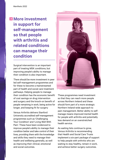## **a** More investment **in support for self-management so that people with arthritis and related conditions can manage their condition**

Surgical intervention is an important part of treating MSK conditions, but improving people's ability to manage their condition is also important.

There should be more investment in peer led self-management programmes and for these to become a mainstreamed part of health and social care treatment pathways. Helping people to manage their condition has the economic benefit of cost savings on drug intervention and surgery and the knock-on benefit of people remaining in work, being active for longer, and keeping fit for surgery

Versus Arthritis delivers Stanford University accredited self-management programmes such as 'Challenging Your Condition' and 'Living Well With Pain'. These have been evidenced to improve people's ability to manage their condition better and take control of their lives, providing them with the knowledge and skills they need to manage their health and wellbeing generally, as well as improving their clinical, emotional and social outcomes.



These programmes need investment so that they can reach more people across Northern Ireland and these should form part of a more strategic Northern Ireland-wide approach to pain management. Better ability to selfmanage means improved mental health for people with arthritis and potentially less demand on an overstretched health service.

As waiting lists continue to grow, Versus Arthritis is recommending that Health and Social Care Trusts implement a six-part package of support to help people with arthritis who are waiting to stay healthy, remain in work, and achieve better surgery outcomes.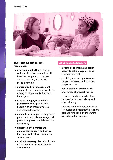

#### **The 6-part support package recommends:**

- **• clear communication** to people with arthritis about when they will have their surgery and the care and services they will receive in the meantime
- **• personalised self-management support** to help people with arthritis manage their pain while they wait for surgery
- **• exercise and physical activity programmes** designed to help people with arthritis stay active and prepare for surgery
- **• mental health support** to help every person with arthritis to manage their pain and any associated depression and anxiety
- **• signposting to benefits and employment support and advice**  for people with arthritis in work or seeking work
- **• Covid-19 recovery plans** should take into account the needs of people with arthritis.

#### **What needs to happen:**

- a strategic approach and easier access to self-management and pain management
- providing a support package for people on the waiting list, to help people wait well
- public health messaging on the importance of physical activity
- providing timely access to other treatments such as podiatry and physiotherapy
- trusts to work with Versus Arthritis to develop and implement a support package for people on the waiting list, to help them wait well.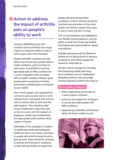### **Action to address 4the impact of arthritis pain on people's ability to work**

Having a debilitating long-term condition such as arthritis has a huge impact on someone's ability to stay in work or get a job in the first place.

People with MSK conditions are less likely to be in work than people without health conditions, and more likely to retire early. Around 63% of working age adults with an MSK condition are in work compared to 82% of people with no health condition. Being in good employment is protective of health. Conversely, unemployment contributes to poor health.

One in three people with osteoarthritis is forced to give up work early or work reduced hours, but people with arthritis want to and are able to work with the right support. They should be able to gain employment, keep their jobs or return to work with the support of employers, health care professionals and appropriate public policies which support inclusion.

Inflexibility in the workplace in relation to healthcare needs and inadequate healthcare that is not timely, contribute to people with arthritis being forced to give up work. There should be schemes, incentives and training for employers to help them get better at supporting

people with arthritis and other conditions. In-work schemes should be improved and promoted so that more people can find the support they need to stay in work and earn a living.

The current pandemic has highlighted how flexible working patterns, and the ability to work from home has levelled the employment playing field for people with arthritis.

Flexible working should be offered by default as it is being shown to improve productivity and makes people feel valued for what they do.

We also need to change the mentality that employing people with longterm conditions can be "challenging". Workplace policies that encourage inclusion benefit all staff in the long run.

#### **What needs to happen:**

- better signposting and access to in-work support schemes
- action by and support for employers to recruit and retain people with MSK conditions
- signposting to benefits and financial advice for those unable to work.